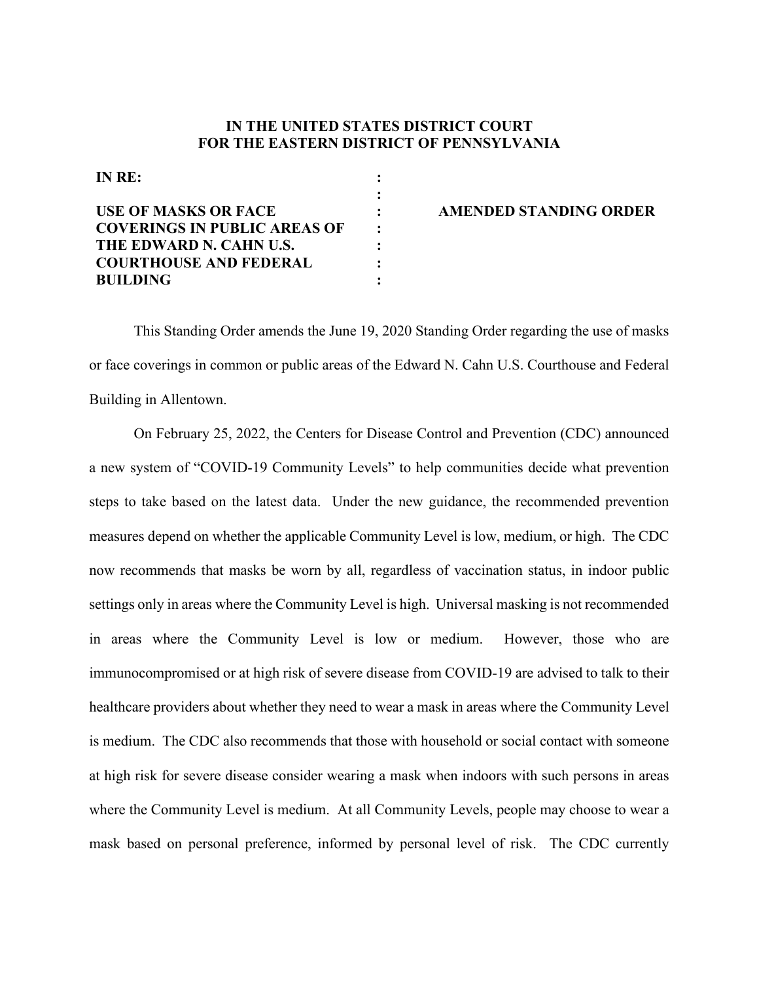## **IN THE UNITED STATES DISTRICT COURT FOR THE EASTERN DISTRICT OF PENNSYLVANIA**

| IN RE:                              |  |
|-------------------------------------|--|
|                                     |  |
| <b>USE OF MASKS OR FACE</b>         |  |
| <b>COVERINGS IN PUBLIC AREAS OF</b> |  |
| THE EDWARD N. CAHN U.S.             |  |
| <b>COURTHOUSE AND FEDERAL</b>       |  |
| <b>BUILDING</b>                     |  |

## **AMENDED STANDING ORDER**

This Standing Order amends the June 19, 2020 Standing Order regarding the use of masks or face coverings in common or public areas of the Edward N. Cahn U.S. Courthouse and Federal Building in Allentown.

On February 25, 2022, the Centers for Disease Control and Prevention (CDC) announced a new system of "COVID-19 Community Levels" to help communities decide what prevention steps to take based on the latest data. Under the new guidance, the recommended prevention measures depend on whether the applicable Community Level is low, medium, or high. The CDC now recommends that masks be worn by all, regardless of vaccination status, in indoor public settings only in areas where the Community Level is high. Universal masking is not recommended in areas where the Community Level is low or medium. However, those who are immunocompromised or at high risk of severe disease from COVID-19 are advised to talk to their healthcare providers about whether they need to wear a mask in areas where the Community Level is medium. The CDC also recommends that those with household or social contact with someone at high risk for severe disease consider wearing a mask when indoors with such persons in areas where the Community Level is medium. At all Community Levels, people may choose to wear a mask based on personal preference, informed by personal level of risk. The CDC currently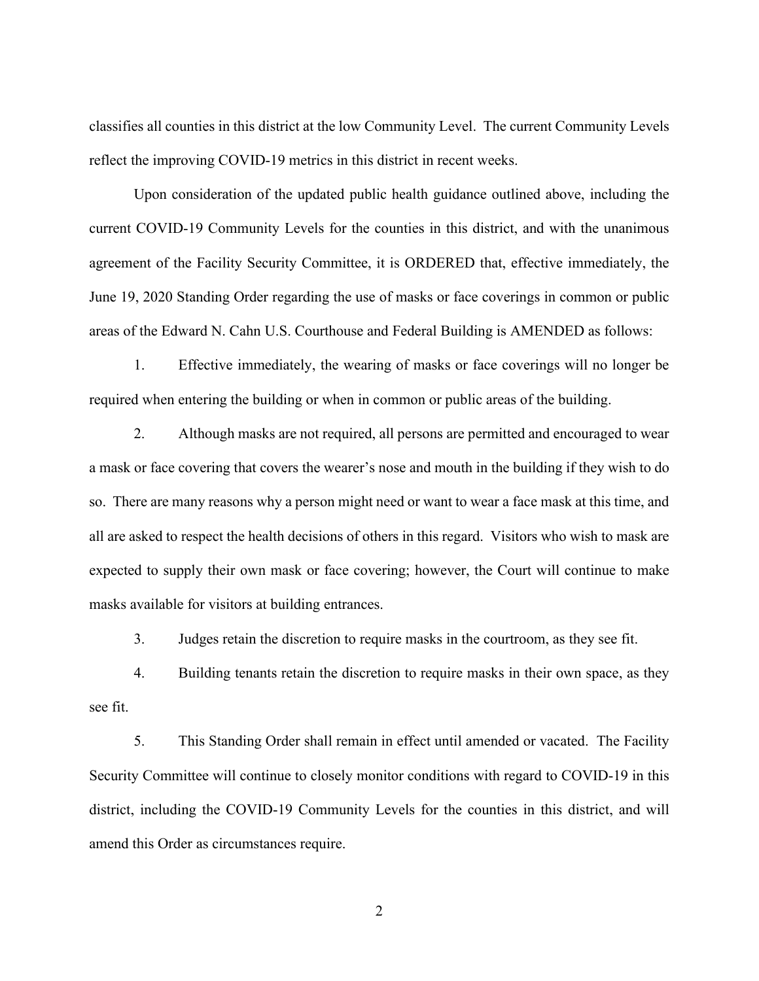classifies all counties in this district at the low Community Level. The current Community Levels reflect the improving COVID-19 metrics in this district in recent weeks.

Upon consideration of the updated public health guidance outlined above, including the current COVID-19 Community Levels for the counties in this district, and with the unanimous agreement of the Facility Security Committee, it is ORDERED that, effective immediately, the June 19, 2020 Standing Order regarding the use of masks or face coverings in common or public areas of the Edward N. Cahn U.S. Courthouse and Federal Building is AMENDED as follows:

1. Effective immediately, the wearing of masks or face coverings will no longer be required when entering the building or when in common or public areas of the building.

2. Although masks are not required, all persons are permitted and encouraged to wear a mask or face covering that covers the wearer's nose and mouth in the building if they wish to do so. There are many reasons why a person might need or want to wear a face mask at this time, and all are asked to respect the health decisions of others in this regard. Visitors who wish to mask are expected to supply their own mask or face covering; however, the Court will continue to make masks available for visitors at building entrances.

3. Judges retain the discretion to require masks in the courtroom, as they see fit.

4. Building tenants retain the discretion to require masks in their own space, as they see fit.

5. This Standing Order shall remain in effect until amended or vacated. The Facility Security Committee will continue to closely monitor conditions with regard to COVID-19 in this district, including the COVID-19 Community Levels for the counties in this district, and will amend this Order as circumstances require.

2